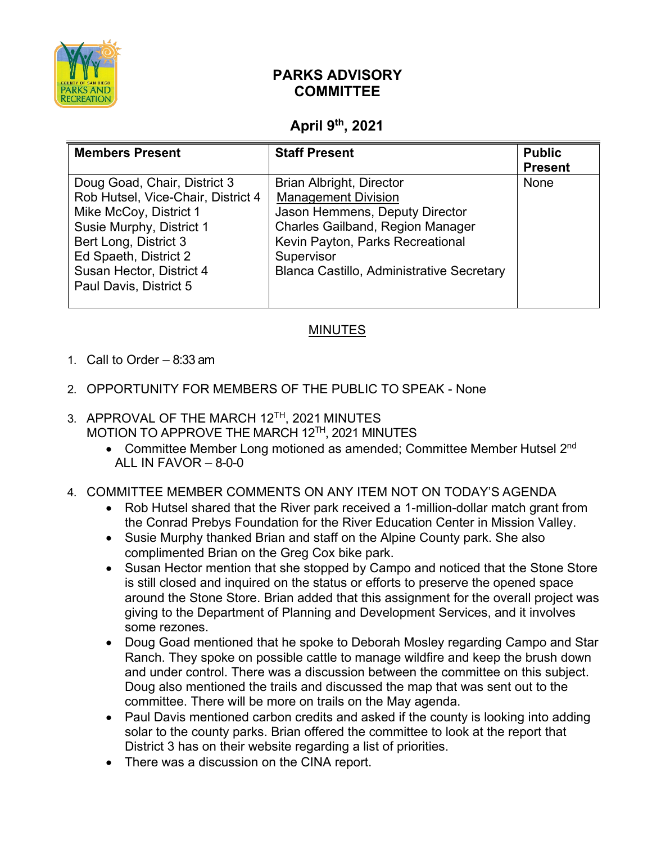

## **PARKS ADVISORY COMMITTEE**

## **April 9th, 2021**

| <b>Members Present</b>                                                                                                                                                                                                           | <b>Staff Present</b>                                                                                                                                                                                                                             | <b>Public</b><br><b>Present</b> |
|----------------------------------------------------------------------------------------------------------------------------------------------------------------------------------------------------------------------------------|--------------------------------------------------------------------------------------------------------------------------------------------------------------------------------------------------------------------------------------------------|---------------------------------|
| Doug Goad, Chair, District 3<br>Rob Hutsel, Vice-Chair, District 4<br>Mike McCoy, District 1<br>Susie Murphy, District 1<br>Bert Long, District 3<br>Ed Spaeth, District 2<br>Susan Hector, District 4<br>Paul Davis, District 5 | <b>Brian Albright, Director</b><br><b>Management Division</b><br>Jason Hemmens, Deputy Director<br><b>Charles Gailband, Region Manager</b><br>Kevin Payton, Parks Recreational<br>Supervisor<br><b>Blanca Castillo, Administrative Secretary</b> | None                            |

## MINUTES

- 1. Call to Order 8:33 am
- 2. OPPORTUNITY FOR MEMBERS OF THE PUBLIC TO SPEAK None
- 3. APPROVAL OF THE MARCH 12<sup>TH</sup>, 2021 MINUTES MOTION TO APPROVE THE MARCH 12<sup>TH</sup>, 2021 MINUTES
	- Committee Member Long motioned as amended; Committee Member Hutsel 2<sup>nd</sup> ALL IN FAVOR  $-8-0-0$
- 4. COMMITTEE MEMBER COMMENTS ON ANY ITEM NOT ON TODAY'S AGENDA
	- Rob Hutsel shared that the River park received a 1-million-dollar match grant from the Conrad Prebys Foundation for the River Education Center in Mission Valley.
	- Susie Murphy thanked Brian and staff on the Alpine County park. She also complimented Brian on the Greg Cox bike park.
	- Susan Hector mention that she stopped by Campo and noticed that the Stone Store is still closed and inquired on the status or efforts to preserve the opened space around the Stone Store. Brian added that this assignment for the overall project was giving to the Department of Planning and Development Services, and it involves some rezones.
	- Doug Goad mentioned that he spoke to Deborah Mosley regarding Campo and Star Ranch. They spoke on possible cattle to manage wildfire and keep the brush down and under control. There was a discussion between the committee on this subject. Doug also mentioned the trails and discussed the map that was sent out to the committee. There will be more on trails on the May agenda.
	- Paul Davis mentioned carbon credits and asked if the county is looking into adding solar to the county parks. Brian offered the committee to look at the report that District 3 has on their website regarding a list of priorities.
	- There was a discussion on the CINA report.